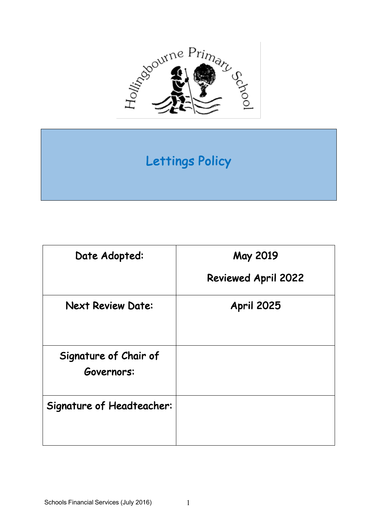

# Lettings Policy

| Date Adopted:                       | May 2019                   |
|-------------------------------------|----------------------------|
|                                     | <b>Reviewed April 2022</b> |
| <b>Next Review Date:</b>            | <b>April 2025</b>          |
| Signature of Chair of<br>Governors: |                            |
| Signature of Headteacher:           |                            |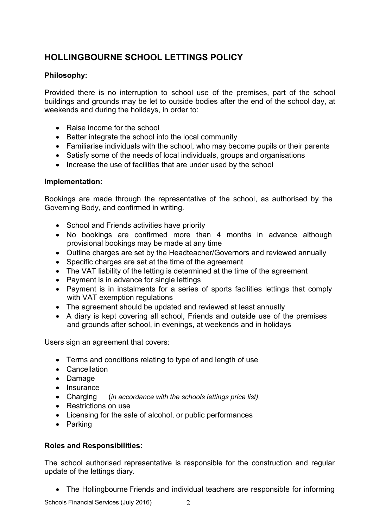## **HOLLINGBOURNE SCHOOL LETTINGS POLICY**

### **Philosophy:**

Provided there is no interruption to school use of the premises, part of the school buildings and grounds may be let to outside bodies after the end of the school day, at weekends and during the holidays, in order to:

- Raise income for the school
- Better integrate the school into the local community
- Familiarise individuals with the school, who may become pupils or their parents
- Satisfy some of the needs of local individuals, groups and organisations
- Increase the use of facilities that are under used by the school

#### **Implementation:**

Bookings are made through the representative of the school, as authorised by the Governing Body, and confirmed in writing.

- School and Friends activities have priority
- No bookings are confirmed more than 4 months in advance although provisional bookings may be made at any time
- Outline charges are set by the Headteacher/Governors and reviewed annually
- Specific charges are set at the time of the agreement
- The VAT liability of the letting is determined at the time of the agreement
- Payment is in advance for single lettings
- Payment is in instalments for a series of sports facilities lettings that comply with VAT exemption regulations
- The agreement should be updated and reviewed at least annually
- A diary is kept covering all school, Friends and outside use of the premises and grounds after school, in evenings, at weekends and in holidays

Users sign an agreement that covers:

- Terms and conditions relating to type of and length of use
- Cancellation
- Damage
- Insurance
- Charging (*in accordance with the schools lettings price list).*
- Restrictions on use
- Licensing for the sale of alcohol, or public performances
- Parking

#### **Roles and Responsibilities:**

The school authorised representative is responsible for the construction and regular update of the lettings diary.

• The Hollingbourne Friends and individual teachers are responsible for informing